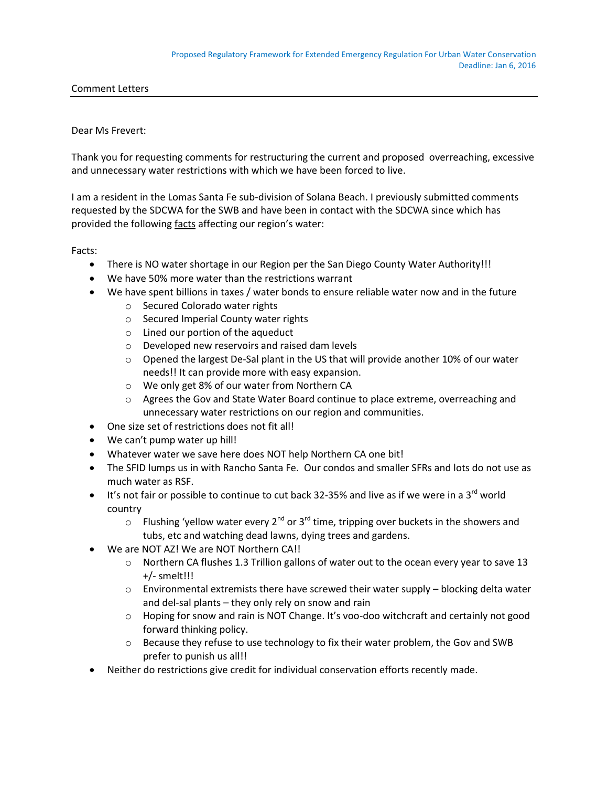Comment Letters

## Dear Ms Frevert:

Thank you for requesting comments for restructuring the current and proposed overreaching, excessive and unnecessary water restrictions with which we have been forced to live.

I am a resident in the Lomas Santa Fe sub-division of Solana Beach. I previously submitted comments requested by the SDCWA for the SWB and have been in contact with the SDCWA since which has provided the following facts affecting our region's water:

Facts:

- There is NO water shortage in our Region per the San Diego County Water Authority!!!
- We have 50% more water than the restrictions warrant
- We have spent billions in taxes / water bonds to ensure reliable water now and in the future
	- o Secured Colorado water rights
	- o Secured Imperial County water rights
	- o Lined our portion of the aqueduct
	- o Developed new reservoirs and raised dam levels
	- o Opened the largest De-Sal plant in the US that will provide another 10% of our water needs!! It can provide more with easy expansion.
	- o We only get 8% of our water from Northern CA
	- o Agrees the Gov and State Water Board continue to place extreme, overreaching and unnecessary water restrictions on our region and communities.
- One size set of restrictions does not fit all!
- We can't pump water up hill!
- Whatever water we save here does NOT help Northern CA one bit!
- The SFID lumps us in with Rancho Santa Fe. Our condos and smaller SFRs and lots do not use as much water as RSF.
- $\bullet$  It's not fair or possible to continue to cut back 32-35% and live as if we were in a 3<sup>rd</sup> world country
	- $\circ$  Flushing 'yellow water every 2<sup>nd</sup> or 3<sup>rd</sup> time, tripping over buckets in the showers and tubs, etc and watching dead lawns, dying trees and gardens.
- We are NOT AZ! We are NOT Northern CA!!
	- o Northern CA flushes 1.3 Trillion gallons of water out to the ocean every year to save 13 +/- smelt!!!
	- $\circ$  Environmental extremists there have screwed their water supply blocking delta water and del-sal plants – they only rely on snow and rain
	- $\circ$  Hoping for snow and rain is NOT Change. It's voo-doo witchcraft and certainly not good forward thinking policy.
	- $\circ$  Because they refuse to use technology to fix their water problem, the Gov and SWB prefer to punish us all!!
- Neither do restrictions give credit for individual conservation efforts recently made.